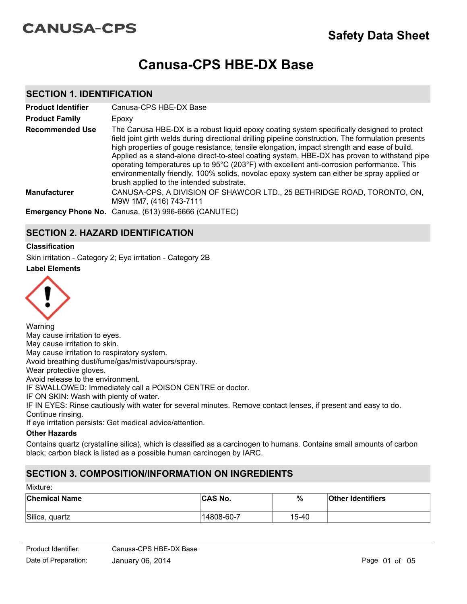# **CANUSA-CPS**

# **Canusa-CPS HBE-DX Base**

### **SECTION 1. IDENTIFICATION**

| <b>Product Identifier</b> | Canusa-CPS HBE-DX Base                                                                                                                                                                                                                                                                                                                                                                                                                                                                                                                                                                                                                  |
|---------------------------|-----------------------------------------------------------------------------------------------------------------------------------------------------------------------------------------------------------------------------------------------------------------------------------------------------------------------------------------------------------------------------------------------------------------------------------------------------------------------------------------------------------------------------------------------------------------------------------------------------------------------------------------|
| <b>Product Family</b>     | Epoxy                                                                                                                                                                                                                                                                                                                                                                                                                                                                                                                                                                                                                                   |
| <b>Recommended Use</b>    | The Canusa HBE-DX is a robust liquid epoxy coating system specifically designed to protect<br>field joint girth welds during directional drilling pipeline construction. The formulation presents<br>high properties of gouge resistance, tensile elongation, impact strength and ease of build.<br>Applied as a stand-alone direct-to-steel coating system, HBE-DX has proven to withstand pipe<br>operating temperatures up to 95°C (203°F) with excellent anti-corrosion performance. This<br>environmentally friendly, 100% solids, novolac epoxy system can either be spray applied or<br>brush applied to the intended substrate. |
| <b>Manufacturer</b>       | CANUSA-CPS, A DIVISION OF SHAWCOR LTD., 25 BETHRIDGE ROAD, TORONTO, ON,<br>M9W 1M7, (416) 743-7111                                                                                                                                                                                                                                                                                                                                                                                                                                                                                                                                      |
|                           | Emergency Phone No. Canusa, (613) 996-6666 (CANUTEC)                                                                                                                                                                                                                                                                                                                                                                                                                                                                                                                                                                                    |

## **SECTION 2. HAZARD IDENTIFICATION**

#### **Classification**

Skin irritation - Category 2; Eye irritation - Category 2B

**Label Elements**



Warning May cause irritation to eyes. May cause irritation to skin. May cause irritation to respiratory system. Avoid breathing dust/fume/gas/mist/vapours/spray. Wear protective gloves. Avoid release to the environment. IF SWALLOWED: Immediately call a POISON CENTRE or doctor. IF ON SKIN: Wash with plenty of water. IF IN EYES: Rinse cautiously with water for several minutes. Remove contact lenses, if present and easy to do. Continue rinsing. If eye irritation persists: Get medical advice/attention.

#### **Other Hazards**

Contains quartz (crystalline silica), which is classified as a carcinogen to humans. Contains small amounts of carbon black; carbon black is listed as a possible human carcinogen by IARC.

## **SECTION 3. COMPOSITION/INFORMATION ON INGREDIENTS**

| Mixture: |  |
|----------|--|
|----------|--|

| <b>Chemical Name</b> | <b>CAS No.</b> | %     | <b>Other Identifiers</b> |
|----------------------|----------------|-------|--------------------------|
| Silica, quartz       | 14808-60-7     | 15-40 |                          |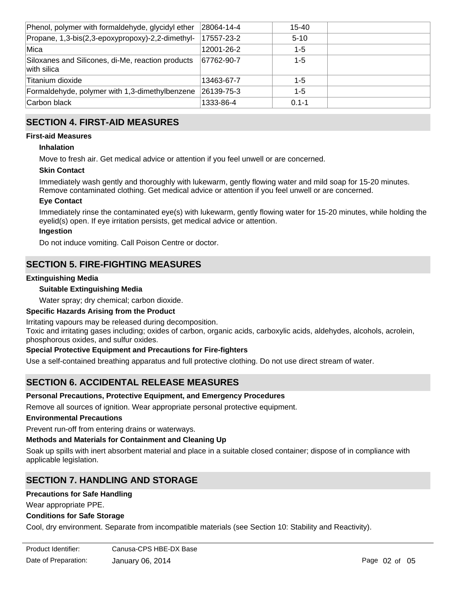| Phenol, polymer with formaldehyde, glycidyl ether                    | 28064-14-4         | 15-40     |  |
|----------------------------------------------------------------------|--------------------|-----------|--|
| Propane, 1,3-bis(2,3-epoxypropoxy)-2,2-dimethyl-                     | 17557-23-2         | $5 - 10$  |  |
| Mica                                                                 | 12001-26-2         | $1 - 5$   |  |
| Siloxanes and Silicones, di-Me, reaction products<br>$ $ with silica | 67762-90-7         | $1 - 5$   |  |
| Titanium dioxide                                                     | 13463-67-7         | $1 - 5$   |  |
| Formaldehyde, polymer with 1,3-dimethylbenzene                       | $ 26139 - 75 - 3 $ | $1 - 5$   |  |
| Carbon black                                                         | 1333-86-4          | $0.1 - 1$ |  |

## **SECTION 4. FIRST-AID MEASURES**

#### **First-aid Measures**

#### **Inhalation**

Move to fresh air. Get medical advice or attention if you feel unwell or are concerned.

#### **Skin Contact**

Immediately wash gently and thoroughly with lukewarm, gently flowing water and mild soap for 15-20 minutes. Remove contaminated clothing. Get medical advice or attention if you feel unwell or are concerned.

#### **Eye Contact**

Immediately rinse the contaminated eye(s) with lukewarm, gently flowing water for 15-20 minutes, while holding the eyelid(s) open. If eye irritation persists, get medical advice or attention.

#### **Ingestion**

Do not induce vomiting. Call Poison Centre or doctor.

## **SECTION 5. FIRE-FIGHTING MEASURES**

#### **Extinguishing Media**

#### **Suitable Extinguishing Media**

Water spray; dry chemical; carbon dioxide.

#### **Specific Hazards Arising from the Product**

Irritating vapours may be released during decomposition.

Toxic and irritating gases including; oxides of carbon, organic acids, carboxylic acids, aldehydes, alcohols, acrolein, phosphorous oxides, and sulfur oxides.

#### **Special Protective Equipment and Precautions for Fire-fighters**

Use a self-contained breathing apparatus and full protective clothing. Do not use direct stream of water.

## **SECTION 6. ACCIDENTAL RELEASE MEASURES**

#### **Personal Precautions, Protective Equipment, and Emergency Procedures**

Remove all sources of ignition. Wear appropriate personal protective equipment.

#### **Environmental Precautions**

Prevent run-off from entering drains or waterways.

#### **Methods and Materials for Containment and Cleaning Up**

Soak up spills with inert absorbent material and place in a suitable closed container; dispose of in compliance with applicable legislation.

## **SECTION 7. HANDLING AND STORAGE**

#### **Precautions for Safe Handling**

Wear appropriate PPE.

#### **Conditions for Safe Storage**

Cool, dry environment. Separate from incompatible materials (see Section 10: Stability and Reactivity).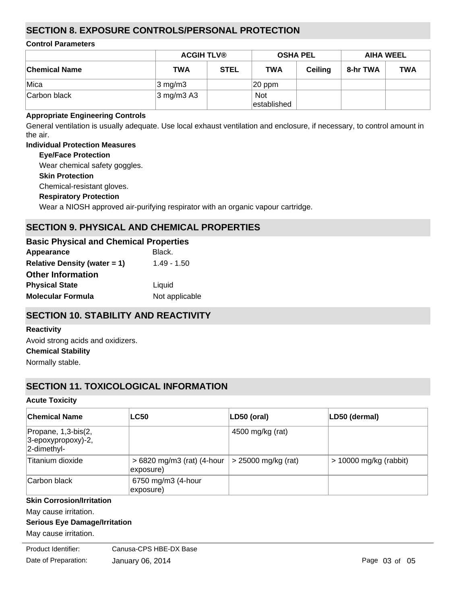## **SECTION 8. EXPOSURE CONTROLS/PERSONAL PROTECTION**

#### **Control Parameters**

|                      | <b>ACGIH TLV®</b>                  |             | <b>OSHA PEL</b>           |                | <b>AIHA WEEL</b> |            |
|----------------------|------------------------------------|-------------|---------------------------|----------------|------------------|------------|
| <b>Chemical Name</b> | <b>TWA</b>                         | <b>STEL</b> | <b>TWA</b>                | <b>Ceiling</b> | 8-hr TWA         | <b>TWA</b> |
| ∣Mica                | $3 \text{ mg/m}$                   |             | $ 20$ ppm                 |                |                  |            |
| Carbon black         | $3 \text{ mg/m}$ $3 \text{ A}$ $3$ |             | <b>Not</b><br>established |                |                  |            |

#### **Appropriate Engineering Controls**

General ventilation is usually adequate. Use local exhaust ventilation and enclosure, if necessary, to control amount in the air.

#### **Individual Protection Measures**

**Skin Protection Respiratory Protection Eye/Face Protection** Wear a NIOSH approved air-purifying respirator with an organic vapour cartridge. Chemical-resistant gloves. Wear chemical safety goggles.

# **SECTION 9. PHYSICAL AND CHEMICAL PROPERTIES**

| <b>Basic Physical and Chemical Properties</b> |                |
|-----------------------------------------------|----------------|
| Appearance                                    | Black.         |
| <b>Relative Density (water = 1)</b>           | $1.49 - 1.50$  |
| <b>Other Information</b>                      |                |
| <b>Physical State</b>                         | Liquid         |
| <b>Molecular Formula</b>                      | Not applicable |

# **SECTION 10. STABILITY AND REACTIVITY**

#### **Reactivity**

**Chemical Stability** Normally stable. Avoid strong acids and oxidizers.

## **SECTION 11. TOXICOLOGICAL INFORMATION**

#### **Acute Toxicity**

| <b>Chemical Name</b>                                        | <b>LC50</b>                              | $LD50$ (oral)         | LD50 (dermal)            |
|-------------------------------------------------------------|------------------------------------------|-----------------------|--------------------------|
| Propane, 1,3-bis(2,<br>$3$ -epoxypropoxy)-2,<br>2-dimethyl- |                                          | 4500 mg/kg (rat)      |                          |
| Titanium dioxide                                            | $>6820$ mg/m3 (rat) (4-hour<br>exposure) | $>$ 25000 mg/kg (rat) | $> 10000$ mg/kg (rabbit) |
| Carbon black                                                | 6750 mg/m3 (4-hour<br>exposure)          |                       |                          |

### **Skin Corrosion/Irritation**

May cause irritation.

#### **Serious Eye Damage/Irritation**

May cause irritation.

**Froduct Identifier:** Canusa-CPS HBE-DX Base Date of Preparation: January 06, 2014 **Page 03 of 05** Page 03 of 05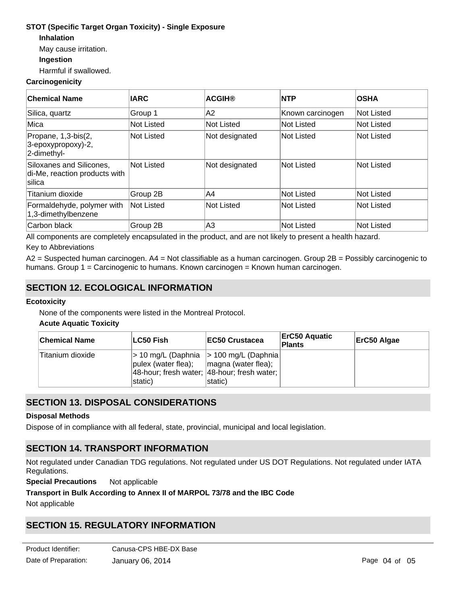#### **STOT (Specific Target Organ Toxicity) - Single Exposure**

**Inhalation**

May cause irritation.

#### **Ingestion**

Harmful if swallowed.

#### **Carcinogenicity**

| <b>Chemical Name</b>                                                | <b>IARC</b> | <b>ACGIH®</b>  | <b>NTP</b>        | <b>OSHA</b> |
|---------------------------------------------------------------------|-------------|----------------|-------------------|-------------|
| Silica, quartz                                                      | Group 1     | A <sub>2</sub> | Known carcinogen  | Not Listed  |
| Mica                                                                | Not Listed  | Not Listed     | <b>Not Listed</b> | Not Listed  |
| Propane, 1,3-bis(2,<br>3-epoxypropoxy)-2,<br>2-dimethyl-            | Not Listed  | Not designated | Not Listed        | Not Listed  |
| Siloxanes and Silicones,<br>di-Me, reaction products with<br>silica | Not Listed  | Not designated | <b>Not Listed</b> | Not Listed  |
| Titanium dioxide                                                    | Group 2B    | IA4            | <b>Not Listed</b> | Not Listed  |
| Formaldehyde, polymer with<br>1,3-dimethylbenzene                   | Not Listed  | Not Listed     | <b>Not Listed</b> | Not Listed  |
| Carbon black                                                        | Group 2B    | A3             | Not Listed        | Not Listed  |

All components are completely encapsulated in the product, and are not likely to present a health hazard.

#### Key to Abbreviations

A2 = Suspected human carcinogen. A4 = Not classifiable as a human carcinogen. Group 2B = Possibly carcinogenic to humans. Group 1 = Carcinogenic to humans. Known carcinogen = Known human carcinogen.

## **SECTION 12. ECOLOGICAL INFORMATION**

#### **Ecotoxicity**

None of the components were listed in the Montreal Protocol.

#### **Acute Aquatic Toxicity**

| <b>Chemical Name</b> | ∣LC50 Fish∣                                                                                                                      | <b>IEC50 Crustacea</b>                                 | <b>ErC50 Aquatic</b><br>Plants | ErC50 Algae |
|----------------------|----------------------------------------------------------------------------------------------------------------------------------|--------------------------------------------------------|--------------------------------|-------------|
| Titanium dioxide     | $ $ > 10 mg/L (Daphnia $ $ > 100 mg/L (Daphnia)<br>$ _{\text{pulex}}$ (water flea); $ _{\text{magnax}}$ (water flea);<br>static) | 48-hour; fresh water; 48-hour; fresh water;<br>static) |                                |             |

## **SECTION 13. DISPOSAL CONSIDERATIONS**

#### **Disposal Methods**

Dispose of in compliance with all federal, state, provincial, municipal and local legislation.

## **SECTION 14. TRANSPORT INFORMATION**

Not regulated under Canadian TDG regulations. Not regulated under US DOT Regulations. Not regulated under IATA Regulations.

**Special Precautions** Not applicable

#### **Transport in Bulk According to Annex II of MARPOL 73/78 and the IBC Code**

Not applicable

# **SECTION 15. REGULATORY INFORMATION**

**Safety, Health and Environmental Regulations**